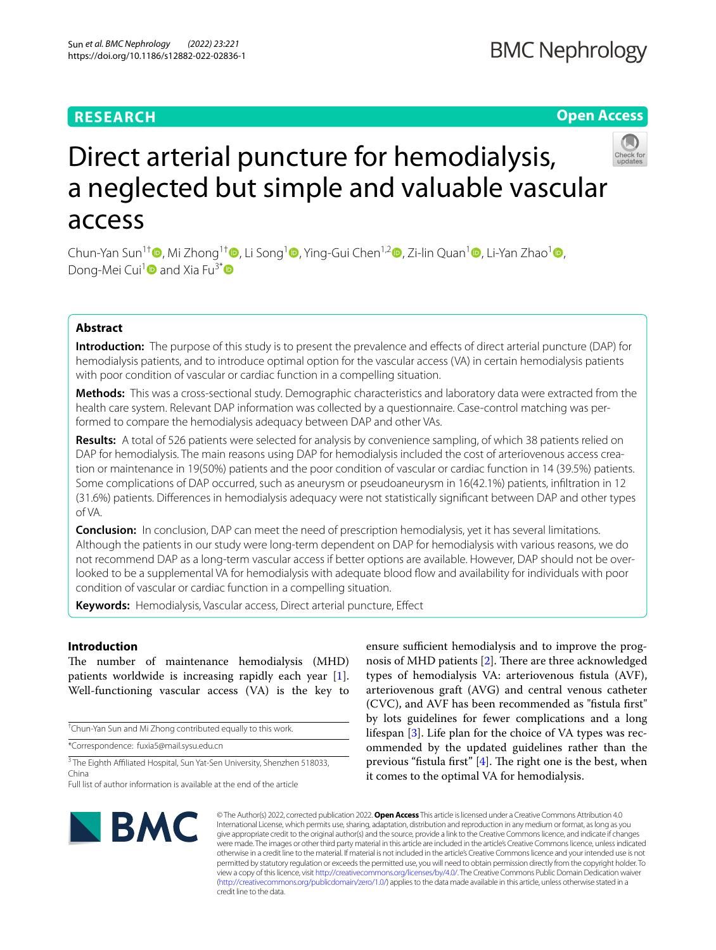## **RESEARCH**

## **BMC Nephrology**

## **Open Access**



# Direct arterial puncture for hemodialysis, a neglected but simple and valuable vascular access

Chun-Yan Sun<sup>1[†](https://orcid.org/0000-0002-4224-8480)</sup> , Mi Zhong<sup>[1](https://orcid.org/0000-0002-9530-7747)†</sup> , Li Song<sup>1</sup> , Ying-Gui Chen<sup>1,[2](https://orcid.org/0000-0003-0719-4269)</sup> , Zi-lin Quan<sup>1</sup> , Li-Yan Zhao<sup>1</sup> , Dong-Mei Cui<sup>1</sup> and Xia Fu<sup>3\*</sup> <sup>o</sup>

## **Abstract**

**Introduction:** The purpose of this study is to present the prevalence and efects of direct arterial puncture (DAP) for hemodialysis patients, and to introduce optimal option for the vascular access (VA) in certain hemodialysis patients with poor condition of vascular or cardiac function in a compelling situation.

**Methods:** This was a cross-sectional study. Demographic characteristics and laboratory data were extracted from the health care system. Relevant DAP information was collected by a questionnaire. Case-control matching was performed to compare the hemodialysis adequacy between DAP and other VAs.

**Results:** A total of 526 patients were selected for analysis by convenience sampling, of which 38 patients relied on DAP for hemodialysis. The main reasons using DAP for hemodialysis included the cost of arteriovenous access creation or maintenance in 19(50%) patients and the poor condition of vascular or cardiac function in 14 (39.5%) patients. Some complications of DAP occurred, such as aneurysm or pseudoaneurysm in 16(42.1%) patients, infltration in 12 (31.6%) patients. Diferences in hemodialysis adequacy were not statistically signifcant between DAP and other types of VA.

**Conclusion:** In conclusion, DAP can meet the need of prescription hemodialysis, yet it has several limitations. Although the patients in our study were long-term dependent on DAP for hemodialysis with various reasons, we do not recommend DAP as a long-term vascular access if better options are available. However, DAP should not be over‑ looked to be a supplemental VA for hemodialysis with adequate blood fow and availability for individuals with poor condition of vascular or cardiac function in a compelling situation.

**Keywords:** Hemodialysis, Vascular access, Direct arterial puncture, Efect

## **Introduction**

The number of maintenance hemodialysis (MHD) patients worldwide is increasing rapidly each year [\[1](#page-6-0)]. Well-functioning vascular access (VA) is the key to

† Chun-Yan Sun and Mi Zhong contributed equally to this work.

\*Correspondence: fuxia5@mail.sysu.edu.cn

<sup>3</sup> The Eighth Affiliated Hospital, Sun Yat-Sen University, Shenzhen 518033, China

ensure sufficient hemodialysis and to improve the prognosis of MHD patients  $[2]$  $[2]$ . There are three acknowledged types of hemodialysis VA: arteriovenous fstula (AVF), arteriovenous graft (AVG) and central venous catheter (CVC), and AVF has been recommended as "fstula frst" by lots guidelines for fewer complications and a long lifespan [\[3](#page-6-2)]. Life plan for the choice of VA types was recommended by the updated guidelines rather than the previous "fistula first"  $[4]$ . The right one is the best, when it comes to the optimal VA for hemodialysis.



© The Author(s) 2022, corrected publication 2022. **Open Access** This article is licensed under a Creative Commons Attribution 4.0 International License, which permits use, sharing, adaptation, distribution and reproduction in any medium or format, as long as you give appropriate credit to the original author(s) and the source, provide a link to the Creative Commons licence, and indicate if changes were made. The images or other third party material in this article are included in the article's Creative Commons licence, unless indicated otherwise in a credit line to the material. If material is not included in the article's Creative Commons licence and your intended use is not permitted by statutory regulation or exceeds the permitted use, you will need to obtain permission directly from the copyright holder. To view a copy of this licence, visit [http://creativecommons.org/licenses/by/4.0/.](http://creativecommons.org/licenses/by/4.0/) The Creative Commons Public Domain Dedication waiver [\(http://creativecommons.org/publicdomain/zero/1.0/\)](http://creativecommons.org/publicdomain/zero/1.0/) applies to the data made available in this article, unless otherwise stated in a credit line to the data.

Full list of author information is available at the end of the article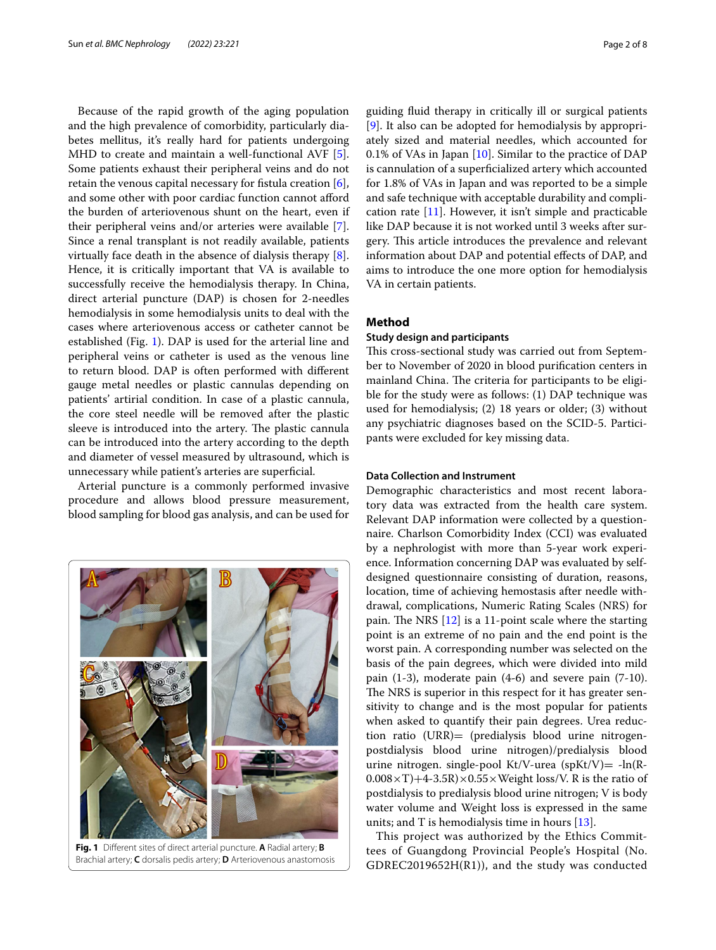Because of the rapid growth of the aging population and the high prevalence of comorbidity, particularly diabetes mellitus, it's really hard for patients undergoing MHD to create and maintain a well-functional AVF [\[5](#page-6-4)]. Some patients exhaust their peripheral veins and do not retain the venous capital necessary for fstula creation [\[6](#page-6-5)], and some other with poor cardiac function cannot afford the burden of arteriovenous shunt on the heart, even if their peripheral veins and/or arteries were available [\[7](#page-6-6)]. Since a renal transplant is not readily available, patients virtually face death in the absence of dialysis therapy [\[8](#page-6-7)]. Hence, it is critically important that VA is available to successfully receive the hemodialysis therapy. In China, direct arterial puncture (DAP) is chosen for 2-needles hemodialysis in some hemodialysis units to deal with the cases where arteriovenous access or catheter cannot be established (Fig. [1](#page-1-0)). DAP is used for the arterial line and peripheral veins or catheter is used as the venous line to return blood. DAP is often performed with diferent gauge metal needles or plastic cannulas depending on patients' artirial condition. In case of a plastic cannula, the core steel needle will be removed after the plastic sleeve is introduced into the artery. The plastic cannula can be introduced into the artery according to the depth and diameter of vessel measured by ultrasound, which is unnecessary while patient's arteries are superfcial.

Arterial puncture is a commonly performed invasive procedure and allows blood pressure measurement, blood sampling for blood gas analysis, and can be used for

В

guiding fuid therapy in critically ill or surgical patients [[9\]](#page-6-8). It also can be adopted for hemodialysis by appropriately sized and material needles, which accounted for 0.1% of VAs in Japan [\[10\]](#page-6-9). Similar to the practice of DAP is cannulation of a superfcialized artery which accounted for 1.8% of VAs in Japan and was reported to be a simple and safe technique with acceptable durability and complication rate  $[11]$  $[11]$  $[11]$ . However, it isn't simple and practicable like DAP because it is not worked until 3 weeks after surgery. This article introduces the prevalence and relevant information about DAP and potential efects of DAP, and aims to introduce the one more option for hemodialysis VA in certain patients.

## **Method**

## **Study design and participants**

This cross-sectional study was carried out from September to November of 2020 in blood purifcation centers in mainland China. The criteria for participants to be eligible for the study were as follows: (1) DAP technique was used for hemodialysis; (2) 18 years or older; (3) without any psychiatric diagnoses based on the SCID-5. Participants were excluded for key missing data.

## **Data Collection and Instrument**

Demographic characteristics and most recent laboratory data was extracted from the health care system. Relevant DAP information were collected by a questionnaire. Charlson Comorbidity Index (CCI) was evaluated by a nephrologist with more than 5-year work experience. Information concerning DAP was evaluated by selfdesigned questionnaire consisting of duration, reasons, location, time of achieving hemostasis after needle withdrawal, complications, Numeric Rating Scales (NRS) for pain. The NRS  $[12]$  $[12]$  $[12]$  is a 11-point scale where the starting point is an extreme of no pain and the end point is the worst pain. A corresponding number was selected on the basis of the pain degrees, which were divided into mild pain (1-3), moderate pain (4-6) and severe pain (7-10). The NRS is superior in this respect for it has greater sensitivity to change and is the most popular for patients when asked to quantify their pain degrees. Urea reduction ratio (URR)= (predialysis blood urine nitrogenpostdialysis blood urine nitrogen)/predialysis blood urine nitrogen. single-pool Kt/V-urea (spKt/V) =  $-\ln(R-\epsilon)$  $0.008 \times T$  +4-3.5R)  $\times$  0.55  $\times$  Weight loss/V. R is the ratio of postdialysis to predialysis blood urine nitrogen; V is body water volume and Weight loss is expressed in the same units; and T is hemodialysis time in hours [[13\]](#page-6-12).

This project was authorized by the Ethics Committees of Guangdong Provincial People's Hospital (No. GDREC2019652H(R1)), and the study was conducted



<span id="page-1-0"></span>Brachial artery; **C** dorsalis pedis artery; **D** Arteriovenous anastomosis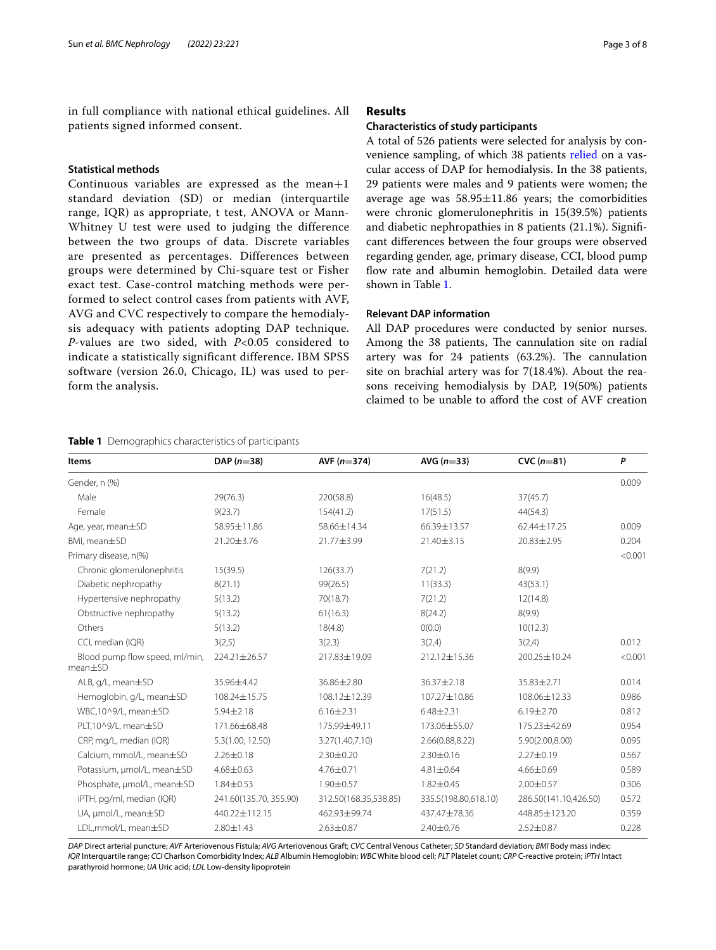in full compliance with national ethical guidelines. All patients signed informed consent.

## **Statistical methods**

Continuous variables are expressed as the mean+1 standard deviation (SD) or median (interquartile range, IQR) as appropriate, t test, ANOVA or Mann-Whitney U test were used to judging the difference between the two groups of data. Discrete variables are presented as percentages. Differences between groups were determined by Chi-square test or Fisher exact test. Case-control matching methods were performed to select control cases from patients with AVF, AVG and CVC respectively to compare the hemodialysis adequacy with patients adopting DAP technique. *P*-values are two sided, with *P*<0.05 considered to indicate a statistically significant difference. IBM SPSS software (version 26.0, Chicago, IL) was used to perform the analysis.

#### <span id="page-2-0"></span>**Table 1** Demographics characteristics of participants

### **Results**

#### **Characteristics of study participants**

A total of 526 patients were selected for analysis by convenience sampling, of which 38 patients [relied](http://www.baidu.com/link?url=eaDh8Hn-yZGJyDB0_h4zBenKd7qY1yX-KNxO-qU49gktQOGTJJg3slTjIbG095st4hRfprQIHRjfhfeGOZyH73y8tvSUCwMmvWbUhyix2ZK) on a vascular access of DAP for hemodialysis. In the 38 patients, 29 patients were males and 9 patients were women; the average age was  $58.95 \pm 11.86$  years; the comorbidities were chronic glomerulonephritis in 15(39.5%) patients and diabetic nephropathies in 8 patients (21.1%). Signifcant diferences between the four groups were observed regarding gender, age, primary disease, CCI, blood pump fow rate and albumin hemoglobin. Detailed data were shown in Table [1.](#page-2-0)

#### **Relevant DAP information**

All DAP procedures were conducted by senior nurses. Among the 38 patients, The cannulation site on radial artery was for  $24$  patients  $(63.2\%)$ . The cannulation site on brachial artery was for 7(18.4%). About the reasons receiving hemodialysis by DAP, 19(50%) patients claimed to be unable to aford the cost of AVF creation

| <b>Items</b>                                    | DAP $(n=38)$           | AVF $(n=374)$         | AVG $(n=33)$         | CVC $(n=81)$          | P       |
|-------------------------------------------------|------------------------|-----------------------|----------------------|-----------------------|---------|
| Gender, n (%)                                   |                        |                       |                      |                       | 0.009   |
| Male                                            | 29(76.3)               | 220(58.8)             | 16(48.5)             | 37(45.7)              |         |
| Female                                          | 9(23.7)                | 154(41.2)             | 17(51.5)             | 44(54.3)              |         |
| Age, year, mean±SD                              | 58.95±11.86            | 58.66±14.34           | 66.39±13.57          | 62.44±17.25           | 0.009   |
| BMI, mean±SD                                    | 21.20±3.76             | 21.77±3.99            | 21.40±3.15           | 20.83±2.95            | 0.204   |
| Primary disease, n(%)                           |                        |                       |                      |                       | < 0.001 |
| Chronic glomerulonephritis                      | 15(39.5)               | 126(33.7)             | 7(21.2)              | 8(9.9)                |         |
| Diabetic nephropathy                            | 8(21.1)                | 99(26.5)              | 11(33.3)             | 43(53.1)              |         |
| Hypertensive nephropathy                        | 5(13.2)                | 70(18.7)              | 7(21.2)              | 12(14.8)              |         |
| Obstructive nephropathy                         | 5(13.2)                | 61(16.3)              | 8(24.2)              | 8(9.9)                |         |
| Others                                          | 5(13.2)                | 18(4.8)               | O(0.0)               | 10(12.3)              |         |
| CCI, median (IQR)                               | 3(2,5)                 | 3(2,3)                | 3(2,4)               | 3(2,4)                | 0.012   |
| Blood pump flow speed, ml/min,<br>$mean \pm SD$ | 224.21±26.57           | 217.83±19.09          | 212.12±15.36         | 200.25±10.24          | < 0.001 |
| ALB, g/L, mean±SD                               | 35.96±4.42             | 36.86±2.80            | 36.37±2.18           | 35.83±2.71            | 0.014   |
| Hemoglobin, g/L, mean±SD                        | 108.24±15.75           | 108.12±12.39          | 107.27±10.86         | 108.06±12.33          | 0.986   |
| WBC,10^9/L, mean±SD                             | $5.94 \pm 2.18$        | $6.16 \pm 2.31$       | $6.48 \pm 2.31$      | $6.19 \pm 2.70$       | 0.812   |
| PLT,10^9/L, mean±SD                             | 171.66±68.48           | 175.99±49.11          | 173.06±55.07         | 175.23±42.69          | 0.954   |
| CRP, mg/L, median (IQR)                         | 5.3(1.00, 12.50)       | 3.27(1.40,7.10)       | 2.66(0.88,8.22)      | 5.90(2.00,8.00)       | 0.095   |
| Calcium, mmol/L, mean±SD                        | $2.26 \pm 0.18$        | $2.30 \pm 0.20$       | $2.30 \pm 0.16$      | $2.27 \pm 0.19$       | 0.567   |
| Potassium, µmol/L, mean±SD                      | $4.68 \pm 0.63$        | 4.76±0.71             | $4.81 \pm 0.64$      | $4.66 \pm 0.69$       | 0.589   |
| Phosphate, µmol/L, mean±SD                      | $1.84 \pm 0.53$        | 1.90±0.57             | 1.82±0.45            | 2.00±0.57             | 0.306   |
| iPTH, pg/ml, median (IQR)                       | 241.60(135.70, 355.90) | 312.50(168.35,538.85) | 335.5(198.80,618.10) | 286.50(141.10,426.50) | 0.572   |
| UA, µmol/L, mean±SD                             | 440.22±112.15          | 462.93±99.74          | 437.47±78.36         | 448.85±123.20         | 0.359   |
| LDL,mmol/L, mean±SD                             | $2.80 \pm 1.43$        | $2.63 \pm 0.87$       | 2.40±0.76            | 2.52±0.87             | 0.228   |

*DAP* Direct arterial puncture; *AVF* Arteriovenous Fistula; *AVG* Arteriovenous Graft; *CVC* Central Venous Catheter; *SD* Standard deviation; *BMI* Body mass index; *IQR* Interquartile range; *CCI* Charlson Comorbidity Index; *ALB* Albumin Hemoglobin; *WBC* White blood cell; *PLT* Platelet count; *CRP* C-reactive protein; *iPTH* Intact parathyroid hormone; *UA* Uric acid; *LDL* Low-density lipoprotein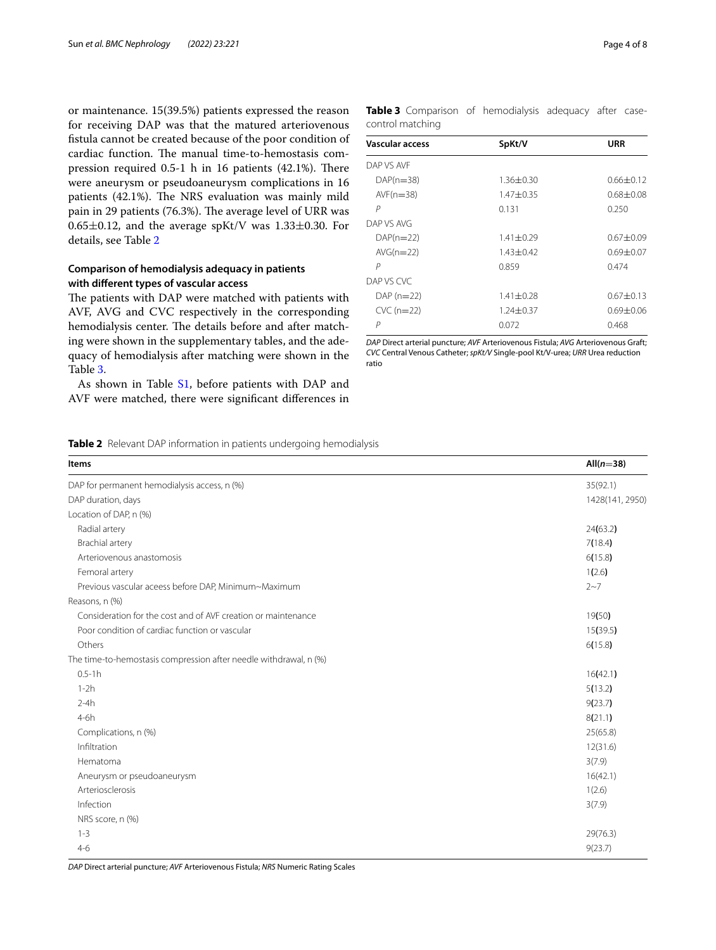or maintenance. 15(39.5%) patients expressed the reason for receiving DAP was that the matured arteriovenous fstula cannot be created because of the poor condition of cardiac function. The manual time-to-hemostasis compression required  $0.5-1$  h in 16 patients (42.1%). There were aneurysm or pseudoaneurysm complications in 16 patients (42.1%). The NRS evaluation was mainly mild pain in 29 patients (76.3%). The average level of URR was  $0.65\pm0.12$ , and the average spKt/V was  $1.33\pm0.30$ . For details, see Table [2](#page-3-0)

## **Comparison of hemodialysis adequacy in patients with diferent types of vascular access**

The patients with DAP were matched with patients with AVF, AVG and CVC respectively in the corresponding hemodialysis center. The details before and after matching were shown in the supplementary tables, and the adequacy of hemodialysis after matching were shown in the Table [3](#page-3-1).

As shown in Table [S1,](#page-6-13) before patients with DAP and AVF were matched, there were signifcant diferences in

| Page 4 of 8 |  |  |  |
|-------------|--|--|--|
|-------------|--|--|--|

<span id="page-3-1"></span>

| Table 3 Comparison of hemodialysis adequacy after case- |  |  |  |
|---------------------------------------------------------|--|--|--|
| control matching                                        |  |  |  |

| <b>Vascular access</b> | SpKt/V          | URR           |  |
|------------------------|-----------------|---------------|--|
| DAP VS AVE             |                 |               |  |
| $DAP(n=38)$            | $1.36 \pm 0.30$ | $0.66 + 0.12$ |  |
| $AVF(n=38)$            | $1.47 + 0.35$   | $0.68 + 0.08$ |  |
| P                      | 0.131           | 0.250         |  |
| DAP VS AVG             |                 |               |  |
| $DAP(n=22)$            | $1.41 + 0.29$   | $0.67 + 0.09$ |  |
| $AVG(n=22)$            | $1.43 + 0.42$   | $0.69 + 0.07$ |  |
| P                      | 0.859           | 0.474         |  |
| DAP VS CVC             |                 |               |  |
| $DAP(n=22)$            | $1.41 + 0.28$   | $0.67 + 0.13$ |  |
| $CVC$ (n=22)           | $1.24 + 0.37$   | $0.69 + 0.06$ |  |
| P                      | 0.072           | 0.468         |  |

*DAP* Direct arterial puncture; *AVF* Arteriovenous Fistula; *AVG* Arteriovenous Graft; *CVC* Central Venous Catheter; *spKt/V* Single-pool Kt/V-urea; *URR* Urea reduction ratio

<span id="page-3-0"></span>

| Items                                                             | All $(n=38)$    |
|-------------------------------------------------------------------|-----------------|
| DAP for permanent hemodialysis access, n (%)                      | 35(92.1)        |
| DAP duration, days                                                | 1428(141, 2950) |
| Location of DAP, n (%)                                            |                 |
| Radial artery                                                     | 24(63.2)        |
| Brachial artery                                                   | 7(18.4)         |
| Arteriovenous anastomosis                                         | 6(15.8)         |
| Femoral artery                                                    | 1(2.6)          |
| Previous vascular aceess before DAP, Minimum~Maximum              | $2 - 7$         |
| Reasons, n (%)                                                    |                 |
| Consideration for the cost and of AVF creation or maintenance     | 19(50)          |
| Poor condition of cardiac function or vascular                    | 15(39.5)        |
| Others                                                            | 6(15.8)         |
| The time-to-hemostasis compression after needle withdrawal, n (%) |                 |
| $0.5 - 1h$                                                        | 16(42.1)        |
| $1-2h$                                                            | 5(13.2)         |
| $2-4h$                                                            | 9(23.7)         |
| $4-6h$                                                            | 8(21.1)         |
| Complications, n (%)                                              | 25(65.8)        |
| Infiltration                                                      | 12(31.6)        |
| Hematoma                                                          | 3(7.9)          |
| Aneurysm or pseudoaneurysm                                        | 16(42.1)        |
| Arteriosclerosis                                                  | 1(2.6)          |
| Infection                                                         | 3(7.9)          |
| NRS score, n (%)                                                  |                 |
| $1 - 3$                                                           | 29(76.3)        |
| $4 - 6$                                                           | 9(23.7)         |

*DAP* Direct arterial puncture; *AVF* Arteriovenous Fistula; *NRS* Numeric Rating Scales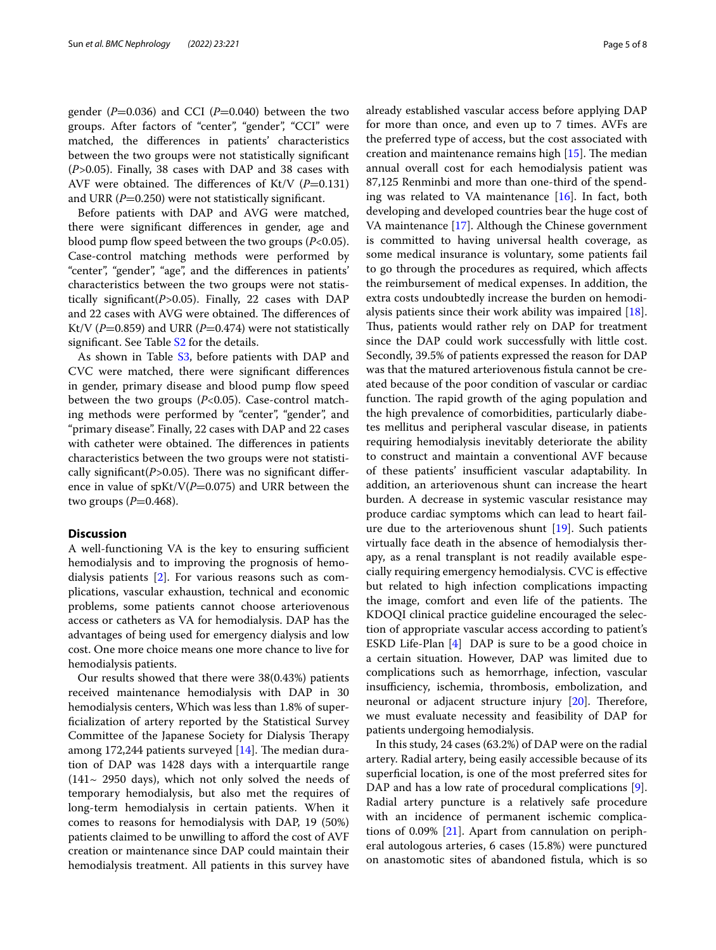gender  $(P=0.036)$  and CCI  $(P=0.040)$  between the two groups. After factors of "center", "gender", "CCI" were matched, the diferences in patients' characteristics between the two groups were not statistically signifcant (*P>*0.05). Finally, 38 cases with DAP and 38 cases with AVF were obtained. The differences of Kt/V  $(P=0.131)$ and URR  $(P=0.250)$  were not statistically significant.

Before patients with DAP and AVG were matched, there were signifcant diferences in gender, age and blood pump flow speed between the two groups  $(P<0.05)$ . Case-control matching methods were performed by "center", "gender", "age", and the diferences in patients' characteristics between the two groups were not statistically signifcant(*P>*0.05). Finally, 22 cases with DAP and 22 cases with AVG were obtained. The differences of Kt/V ( $P=0.859$ ) and URR ( $P=0.474$ ) were not statistically significant. See Table S<sub>2</sub> for the details.

As shown in Table [S3,](#page-6-13) before patients with DAP and CVC were matched, there were signifcant diferences in gender, primary disease and blood pump flow speed between the two groups (*P*<0.05). Case-control matching methods were performed by "center", "gender", and "primary disease". Finally, 22 cases with DAP and 22 cases with catheter were obtained. The differences in patients characteristics between the two groups were not statistically significant(P>0.05). There was no significant difference in value of spKt/V(*P*=0.075) and URR between the two groups  $(P=0.468)$ .

#### **Discussion**

A well-functioning VA is the key to ensuring sufficient hemodialysis and to improving the prognosis of hemodialysis patients [[2\]](#page-6-1). For various reasons such as complications, vascular exhaustion, technical and economic problems, some patients cannot choose arteriovenous access or catheters as VA for hemodialysis. DAP has the advantages of being used for emergency dialysis and low cost. One more choice means one more chance to live for hemodialysis patients.

Our results showed that there were 38(0.43%) patients received maintenance hemodialysis with DAP in 30 hemodialysis centers, Which was less than 1.8% of superfcialization of artery reported by the Statistical Survey Committee of the Japanese Society for Dialysis Therapy among 172,244 patients surveyed  $[14]$ . The median duration of DAP was 1428 days with a interquartile range  $(141 \sim 2950$  days), which not only solved the needs of temporary hemodialysis, but also met the requires of long-term hemodialysis in certain patients. When it comes to reasons for hemodialysis with DAP, 19 (50%) patients claimed to be unwilling to aford the cost of AVF creation or maintenance since DAP could maintain their hemodialysis treatment. All patients in this survey have already established vascular access before applying DAP for more than once, and even up to 7 times. AVFs are the preferred type of access, but the cost associated with creation and maintenance remains high  $[15]$  $[15]$ . The median annual overall cost for each hemodialysis patient was 87,125 Renminbi and more than one-third of the spending was related to VA maintenance  $[16]$  $[16]$  $[16]$ . In fact, both developing and developed countries bear the huge cost of VA maintenance [[17](#page-6-17)]. Although the Chinese government is committed to having universal health coverage, as some medical insurance is voluntary, some patients fail to go through the procedures as required, which afects the reimbursement of medical expenses. In addition, the extra costs undoubtedly increase the burden on hemodialysis patients since their work ability was impaired [\[18](#page-6-18)]. Thus, patients would rather rely on DAP for treatment since the DAP could work successfully with little cost. Secondly, 39.5% of patients expressed the reason for DAP was that the matured arteriovenous fstula cannot be created because of the poor condition of vascular or cardiac function. The rapid growth of the aging population and the high prevalence of comorbidities, particularly diabetes mellitus and peripheral vascular disease, in patients requiring hemodialysis inevitably deteriorate the ability to construct and maintain a conventional AVF because of these patients' insufficient vascular adaptability. In addition, an arteriovenous shunt can increase the heart burden. A decrease in systemic vascular resistance may produce cardiac symptoms which can lead to heart failure due to the arteriovenous shunt [\[19](#page-6-19)]. Such patients virtually face death in the absence of hemodialysis therapy, as a renal transplant is not readily available especially requiring emergency hemodialysis. CVC is efective but related to high infection complications impacting the image, comfort and even life of the patients. The KDOQI clinical practice guideline encouraged the selection of appropriate vascular access according to patient's ESKD Life-Plan [\[4](#page-6-3)] DAP is sure to be a good choice in a certain situation. However, DAP was limited due to complications such as hemorrhage, infection, vascular insufficiency, ischemia, thrombosis, embolization, and neuronal or adjacent structure injury  $[20]$ . Therefore, we must evaluate necessity and feasibility of DAP for patients undergoing hemodialysis.

In this study, 24 cases (63.2%) of DAP were on the radial artery. Radial artery, being easily accessible because of its superficial location, is one of the most preferred sites for DAP and has a low rate of procedural complications [\[9](#page-6-8)]. Radial artery puncture is a relatively safe procedure with an incidence of permanent ischemic complications of 0.09% [\[21](#page-6-21)]. Apart from cannulation on peripheral autologous arteries, 6 cases (15.8%) were punctured on anastomotic sites of abandoned fstula, which is so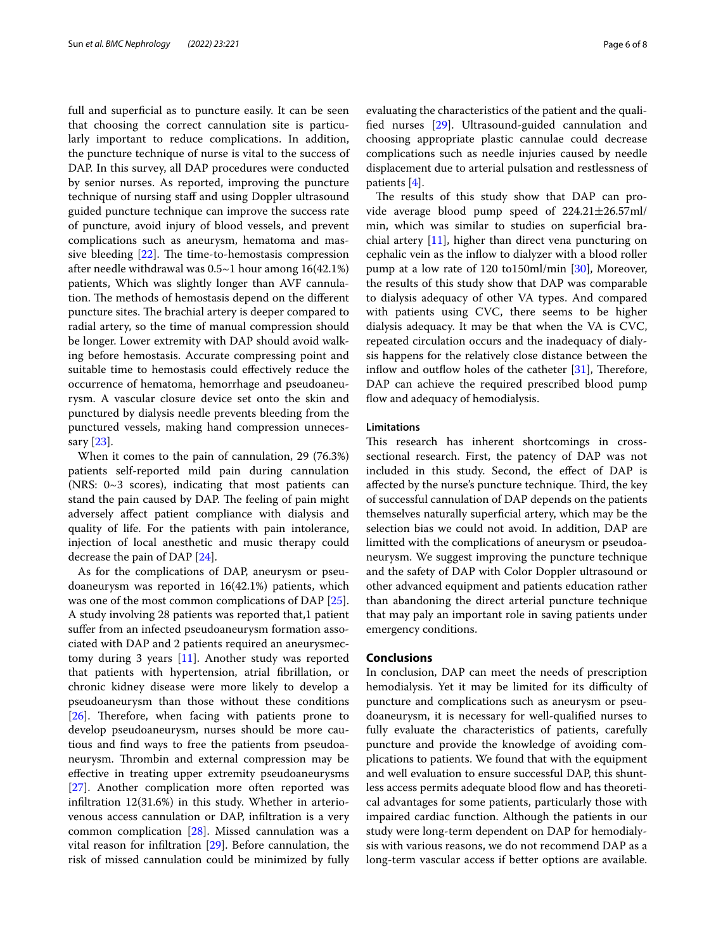full and superficial as to puncture easily. It can be seen that choosing the correct cannulation site is particularly important to reduce complications. In addition, the puncture technique of nurse is vital to the success of DAP. In this survey, all DAP procedures were conducted by senior nurses. As reported, improving the puncture technique of nursing staff and using Doppler ultrasound guided puncture technique can improve the success rate of puncture, avoid injury of blood vessels, and prevent complications such as aneurysm, hematoma and massive bleeding  $[22]$  $[22]$  $[22]$ . The time-to-hemostasis compression after needle withdrawal was 0.5~1 hour among 16(42.1%) patients, Which was slightly longer than AVF cannulation. The methods of hemostasis depend on the different puncture sites. The brachial artery is deeper compared to radial artery, so the time of manual compression should be longer. Lower extremity with DAP should avoid walking before hemostasis. Accurate compressing point and suitable time to hemostasis could efectively reduce the occurrence of hematoma, hemorrhage and pseudoaneurysm. A vascular closure device set onto the skin and punctured by dialysis needle prevents bleeding from the punctured vessels, making hand compression unnecessary [\[23\]](#page-6-23).

When it comes to the pain of cannulation, 29 (76.3%) patients self-reported mild pain during cannulation (NRS: 0~3 scores), indicating that most patients can stand the pain caused by DAP. The feeling of pain might adversely afect patient compliance with dialysis and quality of life. For the patients with pain intolerance, injection of local anesthetic and music therapy could decrease the pain of DAP [[24](#page-6-24)].

As for the complications of DAP, aneurysm or pseudoaneurysm was reported in 16(42.1%) patients, which was one of the most common complications of DAP [\[25](#page-6-25)]. A study involving 28 patients was reported that,1 patient sufer from an infected pseudoaneurysm formation associated with DAP and 2 patients required an aneurysmectomy during 3 years [[11\]](#page-6-10). Another study was reported that patients with hypertension, atrial fbrillation, or chronic kidney disease were more likely to develop a pseudoaneurysm than those without these conditions  $[26]$  $[26]$ . Therefore, when facing with patients prone to develop pseudoaneurysm, nurses should be more cautious and fnd ways to free the patients from pseudoaneurysm. Thrombin and external compression may be efective in treating upper extremity pseudoaneurysms [[27\]](#page-7-1). Another complication more often reported was infltration 12(31.6%) in this study. Whether in arteriovenous access cannulation or DAP, infltration is a very common complication [\[28\]](#page-7-2). Missed cannulation was a vital reason for infltration [\[29](#page-7-3)]. Before cannulation, the risk of missed cannulation could be minimized by fully evaluating the characteristics of the patient and the qualifed nurses [[29](#page-7-3)]. Ultrasound-guided cannulation and choosing appropriate plastic cannulae could decrease complications such as needle injuries caused by needle displacement due to arterial pulsation and restlessness of patients [[4\]](#page-6-3).

The results of this study show that DAP can provide average blood pump speed of 224.21±26.57ml/ min, which was similar to studies on superficial brachial artery [[11\]](#page-6-10), higher than direct vena puncturing on cephalic vein as the infow to dialyzer with a blood roller pump at a low rate of 120 to150ml/min [\[30\]](#page-7-4), Moreover, the results of this study show that DAP was comparable to dialysis adequacy of other VA types. And compared with patients using CVC, there seems to be higher dialysis adequacy. It may be that when the VA is CVC, repeated circulation occurs and the inadequacy of dialysis happens for the relatively close distance between the inflow and outflow holes of the catheter  $[31]$  $[31]$ , Therefore, DAP can achieve the required prescribed blood pump flow and adequacy of hemodialysis.

### **Limitations**

This research has inherent shortcomings in crosssectional research. First, the patency of DAP was not included in this study. Second, the efect of DAP is affected by the nurse's puncture technique. Third, the key of successful cannulation of DAP depends on the patients themselves naturally superfcial artery, which may be the selection bias we could not avoid. In addition, DAP are limitted with the complications of aneurysm or pseudoaneurysm. We suggest improving the puncture technique and the safety of DAP with Color Doppler ultrasound or other advanced equipment and patients education rather than abandoning the direct arterial puncture technique that may paly an important role in saving patients under emergency conditions.

#### **Conclusions**

In conclusion, DAP can meet the needs of prescription hemodialysis. Yet it may be limited for its difficulty of puncture and complications such as aneurysm or pseudoaneurysm, it is necessary for well-qualifed nurses to fully evaluate the characteristics of patients, carefully puncture and provide the knowledge of avoiding complications to patients. We found that with the equipment and well evaluation to ensure successful DAP, this shuntless access permits adequate blood fow and has theoretical advantages for some patients, particularly those with impaired cardiac function. Although the patients in our study were long-term dependent on DAP for hemodialysis with various reasons, we do not recommend DAP as a long-term vascular access if better options are available.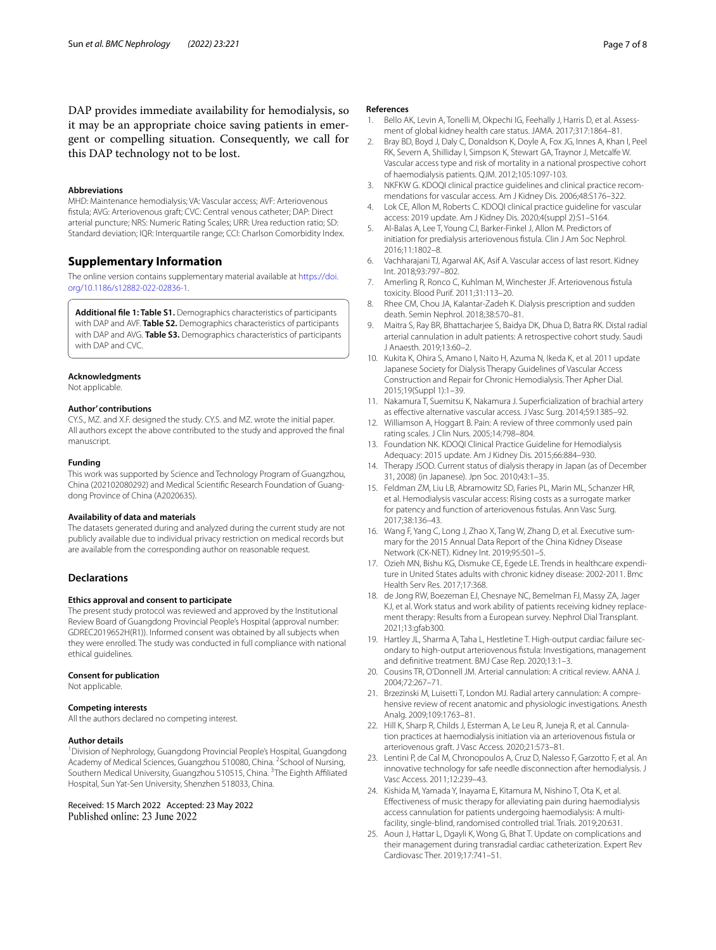DAP provides immediate availability for hemodialysis, so it may be an appropriate choice saving patients in emergent or compelling situation. Consequently, we call for this DAP technology not to be lost.

#### **Abbreviations**

MHD: Maintenance hemodialysis; VA: Vascular access; AVF: Arteriovenous fstula; AVG: Arteriovenous graft; CVC: Central venous catheter; DAP: Direct arterial puncture; NRS: Numeric Rating Scales; URR: Urea reduction ratio; SD: Standard deviation; IQR: Interquartile range; CCI: Charlson Comorbidity Index.

## **Supplementary Information**

The online version contains supplementary material available at [https://doi.](https://doi.org/10.1186/s12882-022-02836-1) [org/10.1186/s12882-022-02836-1](https://doi.org/10.1186/s12882-022-02836-1).

<span id="page-6-13"></span>**Additional fle 1: Table S1.** Demographics characteristics of participants with DAP and AVF. **Table S2.** Demographics characteristics of participants with DAP and AVG. **Table S3.** Demographics characteristics of participants with DAP and CVC.

#### **Acknowledgments**

Not applicable.

#### **Author' contributions**

CY.S., MZ. and X.F. designed the study. CY.S. and MZ. wrote the initial paper. All authors except the above contributed to the study and approved the fnal manuscript.

#### **Funding**

This work was supported by Science and Technology Program of Guangzhou, China (202102080292) and Medical Scientifc Research Foundation of Guang‑ dong Province of China (A2020635).

#### **Availability of data and materials**

The datasets generated during and analyzed during the current study are not publicly available due to individual privacy restriction on medical records but are available from the corresponding author on reasonable request.

#### **Declarations**

#### **Ethics approval and consent to participate**

The present study protocol was reviewed and approved by the Institutional Review Board of Guangdong Provincial People's Hospital (approval number: GDREC2019652H(R1)). Informed consent was obtained by all subjects when they were enrolled. The study was conducted in full compliance with national ethical guidelines.

#### **Consent for publication**

Not applicable.

#### **Competing interests**

All the authors declared no competing interest.

#### **Author details**

<sup>1</sup> Division of Nephrology, Guangdong Provincial People's Hospital, Guangdong Academy of Medical Sciences, Guangzhou 510080, China. <sup>2</sup> School of Nursing, Southern Medical University, Guangzhou 510515, China. <sup>3</sup>The Eighth Affiliated Hospital, Sun Yat-Sen University, Shenzhen 518033, China.

#### Received: 15 March 2022 Accepted: 23 May 2022 Published online: 23 June 2022

#### **References**

- <span id="page-6-0"></span>1. Bello AK, Levin A, Tonelli M, Okpechi IG, Feehally J, Harris D, et al. Assessment of global kidney health care status. JAMA. 2017;317:1864–81.
- <span id="page-6-1"></span>2. Bray BD, Boyd J, Daly C, Donaldson K, Doyle A, Fox JG, Innes A, Khan I, Peel RK, Severn A, Shilliday I, Simpson K, Stewart GA, Traynor J, Metcalfe W. Vascular access type and risk of mortality in a national prospective cohort of haemodialysis patients. QJM. 2012;105:1097-103.
- <span id="page-6-2"></span>3. NKFKW G. KDOQI clinical practice guidelines and clinical practice recommendations for vascular access. Am J Kidney Dis. 2006;48:S176–322.
- <span id="page-6-3"></span>4. Lok CE, Allon M, Roberts C. KDOQI clinical practice guideline for vascular access: 2019 update. Am J Kidney Dis. 2020;4(suppl 2):S1–S164.
- <span id="page-6-4"></span>5. Al-Balas A, Lee T, Young CJ, Barker-Finkel J, Allon M. Predictors of initiation for predialysis arteriovenous fstula. Clin J Am Soc Nephrol. 2016;11:1802–8.
- <span id="page-6-5"></span>6. Vachharajani TJ, Agarwal AK, Asif A. Vascular access of last resort. Kidney Int. 2018;93:797–802.
- <span id="page-6-6"></span>7. Amerling R, Ronco C, Kuhlman M, Winchester JF. Arteriovenous fstula toxicity. Blood Purif. 2011;31:113–20.
- <span id="page-6-7"></span>8. Rhee CM, Chou JA, Kalantar-Zadeh K. Dialysis prescription and sudden death. Semin Nephrol. 2018;38:570–81.
- <span id="page-6-8"></span>9. Maitra S, Ray BR, Bhattacharjee S, Baidya DK, Dhua D, Batra RK. Distal radial arterial cannulation in adult patients: A retrospective cohort study. Saudi J Anaesth. 2019;13:60–2.
- <span id="page-6-9"></span>10. Kukita K, Ohira S, Amano I, Naito H, Azuma N, Ikeda K, et al. 2011 update Japanese Society for Dialysis Therapy Guidelines of Vascular Access Construction and Repair for Chronic Hemodialysis. Ther Apher Dial. 2015;19(Suppl 1):1–39.
- <span id="page-6-10"></span>11. Nakamura T, Suemitsu K, Nakamura J. Superfcialization of brachial artery as efective alternative vascular access. J Vasc Surg. 2014;59:1385–92.
- <span id="page-6-11"></span>12. Williamson A, Hoggart B. Pain: A review of three commonly used pain rating scales. J Clin Nurs. 2005;14:798–804.
- <span id="page-6-12"></span>13. Foundation NK. KDOQI Clinical Practice Guideline for Hemodialysis Adequacy: 2015 update. Am J Kidney Dis. 2015;66:884–930.
- <span id="page-6-14"></span>14. Therapy JSOD. Current status of dialysis therapy in Japan (as of December 31, 2008) (in Japanese). Jpn Soc. 2010;43:1–35.
- <span id="page-6-15"></span>15. Feldman ZM, Liu LB, Abramowitz SD, Faries PL, Marin ML, Schanzer HR, et al. Hemodialysis vascular access: Rising costs as a surrogate marker for patency and function of arteriovenous fstulas. Ann Vasc Surg. 2017;38:136–43.
- <span id="page-6-16"></span>16. Wang F, Yang C, Long J, Zhao X, Tang W, Zhang D, et al. Executive summary for the 2015 Annual Data Report of the China Kidney Disease Network (CK-NET). Kidney Int. 2019;95:501–5.
- <span id="page-6-17"></span>17. Ozieh MN, Bishu KG, Dismuke CE, Egede LE. Trends in healthcare expenditure in United States adults with chronic kidney disease: 2002-2011. Bmc Health Serv Res. 2017;17:368.
- <span id="page-6-18"></span>18. de Jong RW, Boezeman EJ, Chesnaye NC, Bemelman FJ, Massy ZA, Jager KJ, et al. Work status and work ability of patients receiving kidney replacement therapy: Results from a European survey. Nephrol Dial Transplant. 2021;13:gfab300.
- <span id="page-6-19"></span>19. Hartley JL, Sharma A, Taha L, Hestletine T. High-output cardiac failure secondary to high-output arteriovenous fstula: Investigations, management and defnitive treatment. BMJ Case Rep. 2020;13:1–3.
- <span id="page-6-20"></span>20. Cousins TR, O'Donnell JM. Arterial cannulation: A critical review. AANA J. 2004;72:267–71.
- <span id="page-6-21"></span>21. Brzezinski M, Luisetti T, London MJ. Radial artery cannulation: A comprehensive review of recent anatomic and physiologic investigations. Anesth Analg. 2009;109:1763–81.
- <span id="page-6-22"></span>22. Hill K, Sharp R, Childs J, Esterman A, Le Leu R, Juneja R, et al. Cannulation practices at haemodialysis initiation via an arteriovenous fstula or arteriovenous graft. J Vasc Access. 2020;21:573–81.
- <span id="page-6-23"></span>23. Lentini P, de Cal M, Chronopoulos A, Cruz D, Nalesso F, Garzotto F, et al. An innovative technology for safe needle disconnection after hemodialysis. J Vasc Access. 2011;12:239–43.
- <span id="page-6-24"></span>24. Kishida M, Yamada Y, Inayama E, Kitamura M, Nishino T, Ota K, et al. Efectiveness of music therapy for alleviating pain during haemodialysis access cannulation for patients undergoing haemodialysis: A multifacility, single-blind, randomised controlled trial. Trials. 2019;20:631.
- <span id="page-6-25"></span>25. Aoun J, Hattar L, Dgayli K, Wong G, Bhat T. Update on complications and their management during transradial cardiac catheterization. Expert Rev Cardiovasc Ther. 2019;17:741–51.